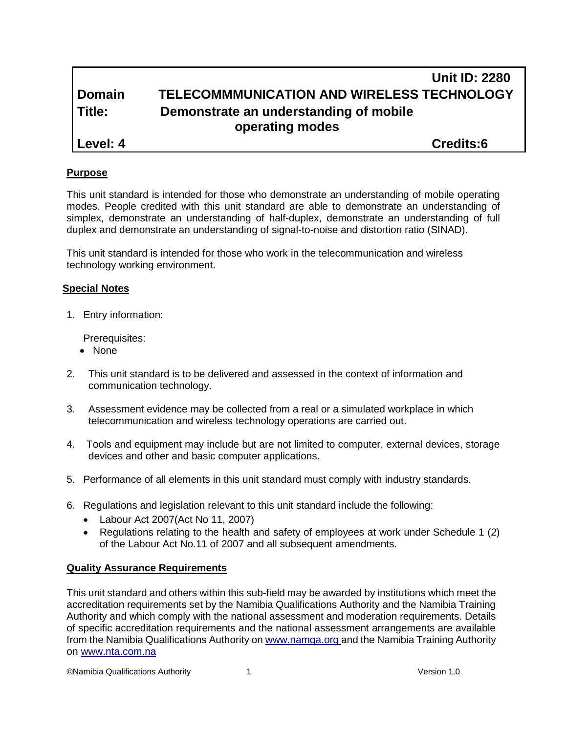|               | <b>Unit ID: 2280</b>                                      |
|---------------|-----------------------------------------------------------|
| <b>Domain</b> | TELECOMMMUNICATION AND WIRELESS TECHNOLOGY                |
| Title:        | Demonstrate an understanding of mobile<br>operating modes |
| Level: 4      | <b>Credits:6</b>                                          |

#### **Purpose**

This unit standard is intended for those who demonstrate an understanding of mobile operating modes. People credited with this unit standard are able to demonstrate an understanding of simplex, demonstrate an understanding of half-duplex, demonstrate an understanding of full duplex and demonstrate an understanding of signal-to-noise and distortion ratio (SINAD).

This unit standard is intended for those who work in the telecommunication and wireless technology working environment.

#### **Special Notes**

1. Entry information:

Prerequisites:

- None
- 2. This unit standard is to be delivered and assessed in the context of information and communication technology.
- 3. Assessment evidence may be collected from a real or a simulated workplace in which telecommunication and wireless technology operations are carried out.
- 4. Tools and equipment may include but are not limited to computer, external devices, storage devices and other and basic computer applications.
- 5. Performance of all elements in this unit standard must comply with industry standards.
- 6. Regulations and legislation relevant to this unit standard include the following:
	- Labour Act 2007(Act No 11, 2007)
	- Regulations relating to the health and safety of employees at work under Schedule 1 (2) of the Labour Act No.11 of 2007 and all subsequent amendments.

#### **Quality Assurance Requirements**

This unit standard and others within this sub-field may be awarded by institutions which meet the accreditation requirements set by the Namibia Qualifications Authority and the Namibia Training Authority and which comply with the national assessment and moderation requirements. Details of specific accreditation requirements and the national assessment arrangements are available from the Namibia Qualifications Authority o[n www.namqa.org a](http://www.namqa.org/)nd the Namibia Training Authority on [www.nta.com.na](http://www.nta.com.na/)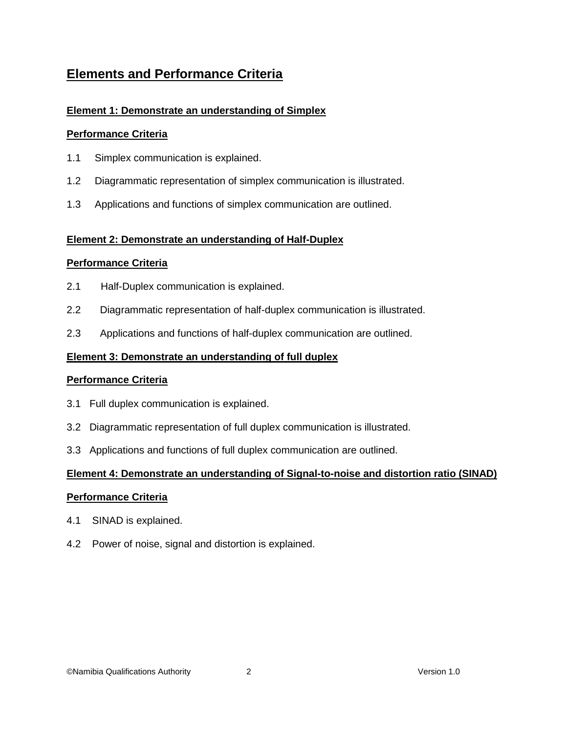## **Elements and Performance Criteria**

## **Element 1: Demonstrate an understanding of Simplex**

## **Performance Criteria**

- 1.1 Simplex communication is explained.
- 1.2 Diagrammatic representation of simplex communication is illustrated.
- 1.3 Applications and functions of simplex communication are outlined.

### **Element 2: Demonstrate an understanding of Half-Duplex**

### **Performance Criteria**

- 2.1 Half-Duplex communication is explained.
- 2.2 Diagrammatic representation of half-duplex communication is illustrated.
- 2.3 Applications and functions of half-duplex communication are outlined.

### **Element 3: Demonstrate an understanding of full duplex**

### **Performance Criteria**

- 3.1 Full duplex communication is explained.
- 3.2 Diagrammatic representation of full duplex communication is illustrated.
- 3.3 Applications and functions of full duplex communication are outlined.

### **Element 4: Demonstrate an understanding of Signal-to-noise and distortion ratio (SINAD)**

### **Performance Criteria**

- 4.1 SINAD is explained.
- 4.2 Power of noise, signal and distortion is explained.